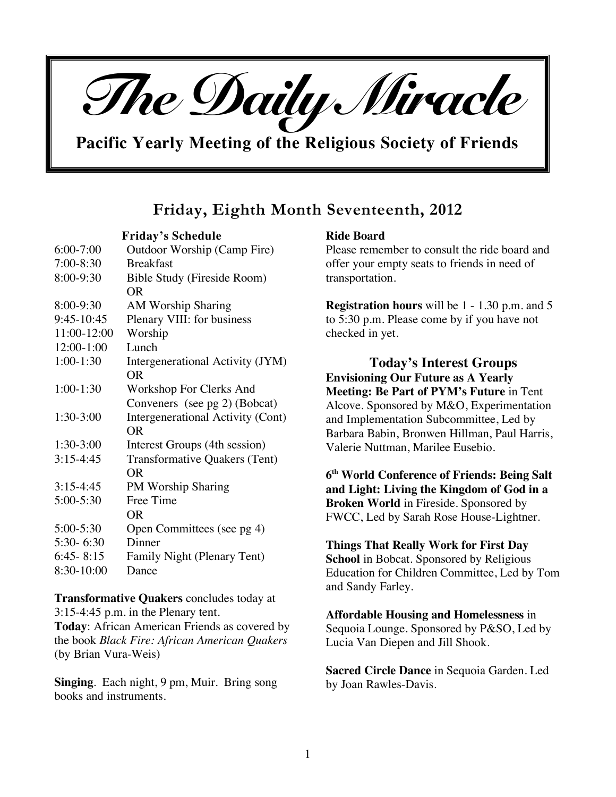

**Pacific Yearly Meeting of the Religious Society of Friends**

# **Friday, Eighth Month Seventeenth, 2012**

**Friday's Schedule**

| $6:00 - 7:00$ | Outdoor Worship (Camp Fire)          |
|---------------|--------------------------------------|
| 7:00-8:30     | <b>Breakfast</b>                     |
| 8:00-9:30     | <b>Bible Study (Fireside Room)</b>   |
|               | OR.                                  |
| 8:00-9:30     | <b>AM Worship Sharing</b>            |
| 9:45-10:45    | Plenary VIII: for business           |
| 11:00-12:00   | Worship                              |
| 12:00-1:00    | Lunch                                |
| $1:00-1:30$   | Intergenerational Activity (JYM)     |
|               | <b>OR</b>                            |
| $1:00-1:30$   | Workshop For Clerks And              |
|               | Conveners (see pg 2) (Bobcat)        |
| 1:30-3:00     | Intergenerational Activity (Cont)    |
|               | <b>OR</b>                            |
| $1:30-3:00$   | Interest Groups (4th session)        |
| $3:15-4:45$   | <b>Transformative Quakers (Tent)</b> |
|               | OR                                   |
| $3:15-4:45$   | <b>PM Worship Sharing</b>            |
| 5:00-5:30     | Free Time                            |
|               | OR.                                  |
| 5:00-5:30     | Open Committees (see pg 4)           |
| $5:30 - 6:30$ | Dinner                               |
| $6:45 - 8:15$ | Family Night (Plenary Tent)          |
| 8:30-10:00    | Dance                                |

**Transformative Quakers** concludes today at 3:15-4:45 p.m. in the Plenary tent. **Today**: African American Friends as covered by the book *Black Fire: African American Quakers* (by Brian Vura-Weis)

**Singing**. Each night, 9 pm, Muir. Bring song books and instruments.

### **Ride Board**

Please remember to consult the ride board and offer your empty seats to friends in need of transportation.

**Registration hours** will be 1 - 1.30 p.m. and 5 to 5:30 p.m. Please come by if you have not checked in yet.

**Today's Interest Groups Envisioning Our Future as A Yearly Meeting: Be Part of PYM's Future** in Tent Alcove. Sponsored by M&O, Experimentation and Implementation Subcommittee, Led by Barbara Babin, Bronwen Hillman, Paul Harris, Valerie Nuttman, Marilee Eusebio.

**6th World Conference of Friends: Being Salt and Light: Living the Kingdom of God in a Broken World** in Fireside. Sponsored by FWCC, Led by Sarah Rose House-Lightner.

# **Things That Really Work for First Day**

**School** in Bobcat. Sponsored by Religious Education for Children Committee, Led by Tom and Sandy Farley.

# **Affordable Housing and Homelessness** in

Sequoia Lounge. Sponsored by P&SO, Led by Lucia Van Diepen and Jill Shook.

**Sacred Circle Dance** in Sequoia Garden. Led by Joan Rawles-Davis.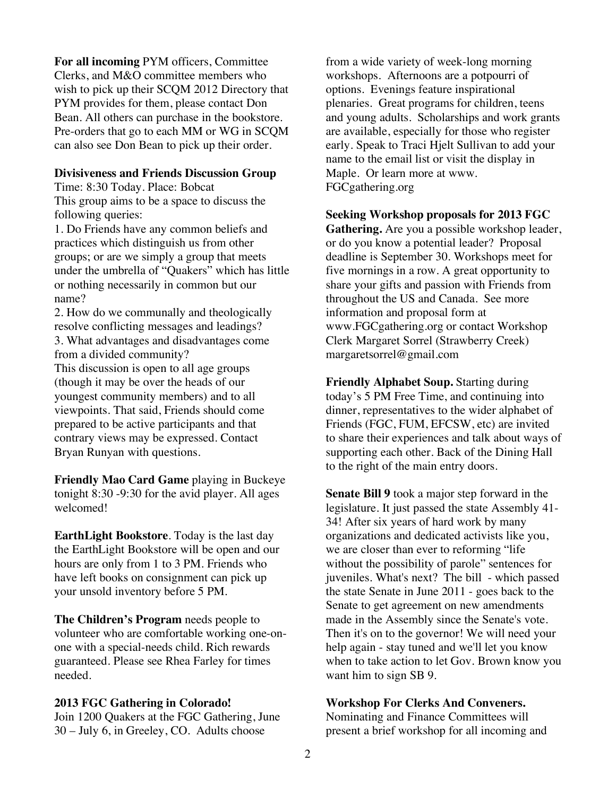**For all incoming** PYM officers, Committee Clerks, and M&O committee members who wish to pick up their SCQM 2012 Directory that PYM provides for them, please contact Don Bean. All others can purchase in the bookstore. Pre-orders that go to each MM or WG in SCQM can also see Don Bean to pick up their order.

#### **Divisiveness and Friends Discussion Group**

Time: 8:30 Today. Place: Bobcat This group aims to be a space to discuss the following queries:

1. Do Friends have any common beliefs and practices which distinguish us from other groups; or are we simply a group that meets under the umbrella of "Quakers" which has little or nothing necessarily in common but our name?

2. How do we communally and theologically resolve conflicting messages and leadings? 3. What advantages and disadvantages come from a divided community?

This discussion is open to all age groups (though it may be over the heads of our youngest community members) and to all viewpoints. That said, Friends should come prepared to be active participants and that contrary views may be expressed. Contact Bryan Runyan with questions.

**Friendly Mao Card Game** playing in Buckeye tonight 8:30 -9:30 for the avid player. All ages welcomed!

**EarthLight Bookstore**. Today is the last day the EarthLight Bookstore will be open and our hours are only from 1 to 3 PM. Friends who have left books on consignment can pick up your unsold inventory before 5 PM.

**The Children's Program** needs people to volunteer who are comfortable working one-onone with a special-needs child. Rich rewards guaranteed. Please see Rhea Farley for times needed.

#### **2013 FGC Gathering in Colorado!**

Join 1200 Quakers at the FGC Gathering, June 30 – July 6, in Greeley, CO. Adults choose

from a wide variety of week-long morning workshops. Afternoons are a potpourri of options. Evenings feature inspirational plenaries. Great programs for children, teens and young adults. Scholarships and work grants are available, especially for those who register early. Speak to Traci Hjelt Sullivan to add your name to the email list or visit the display in Maple. Or learn more at www. FGCgathering.org

**Seeking Workshop proposals for 2013 FGC** 

**Gathering.** Are you a possible workshop leader, or do you know a potential leader? Proposal deadline is September 30. Workshops meet for five mornings in a row. A great opportunity to share your gifts and passion with Friends from throughout the US and Canada. See more information and proposal form at www.FGCgathering.org or contact Workshop Clerk Margaret Sorrel (Strawberry Creek) margaretsorrel@gmail.com

**Friendly Alphabet Soup.** Starting during today's 5 PM Free Time, and continuing into dinner, representatives to the wider alphabet of Friends (FGC, FUM, EFCSW, etc) are invited to share their experiences and talk about ways of supporting each other. Back of the Dining Hall to the right of the main entry doors.

**Senate Bill 9** took a major step forward in the legislature. It just passed the state Assembly 41- 34! After six years of hard work by many organizations and dedicated activists like you, we are closer than ever to reforming "life without the possibility of parole" sentences for juveniles. What's next? The bill - which passed the state Senate in June 2011 - goes back to the Senate to get agreement on new amendments made in the Assembly since the Senate's vote. Then it's on to the governor! We will need your help again - stay tuned and we'll let you know when to take action to let Gov. Brown know you want him to sign SB 9.

#### **Workshop For Clerks And Conveners.**

Nominating and Finance Committees will present a brief workshop for all incoming and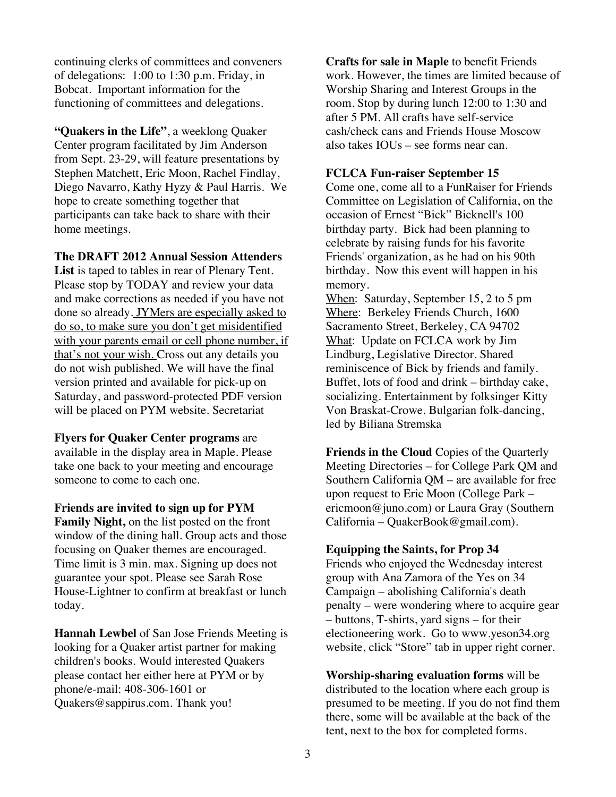continuing clerks of committees and conveners of delegations: 1:00 to 1:30 p.m. Friday, in Bobcat. Important information for the functioning of committees and delegations.

**"Quakers in the Life"**, a weeklong Quaker Center program facilitated by Jim Anderson from Sept. 23-29, will feature presentations by Stephen Matchett, Eric Moon, Rachel Findlay, Diego Navarro, Kathy Hyzy & Paul Harris. We hope to create something together that participants can take back to share with their home meetings.

**The DRAFT 2012 Annual Session Attenders List** is taped to tables in rear of Plenary Tent. Please stop by TODAY and review your data and make corrections as needed if you have not done so already. JYMers are especially asked to do so, to make sure you don't get misidentified with your parents email or cell phone number, if that's not your wish. Cross out any details you do not wish published. We will have the final version printed and available for pick-up on Saturday, and password-protected PDF version will be placed on PYM website. Secretariat

**Flyers for Quaker Center programs** are available in the display area in Maple. Please take one back to your meeting and encourage someone to come to each one.

**Friends are invited to sign up for PYM Family Night,** on the list posted on the front window of the dining hall. Group acts and those focusing on Quaker themes are encouraged. Time limit is 3 min. max. Signing up does not guarantee your spot. Please see Sarah Rose House-Lightner to confirm at breakfast or lunch today.

**Hannah Lewbel** of San Jose Friends Meeting is looking for a Quaker artist partner for making children's books. Would interested Quakers please contact her either here at PYM or by phone/e-mail: 408-306-1601 or Quakers@sappirus.com. Thank you!

**Crafts for sale in Maple** to benefit Friends work. However, the times are limited because of Worship Sharing and Interest Groups in the room. Stop by during lunch 12:00 to 1:30 and after 5 PM. All crafts have self-service cash/check cans and Friends House Moscow also takes IOUs – see forms near can.

### **FCLCA Fun-raiser September 15**

Come one, come all to a FunRaiser for Friends Committee on Legislation of California, on the occasion of Ernest "Bick" Bicknell's 100 birthday party. Bick had been planning to celebrate by raising funds for his favorite Friends' organization, as he had on his 90th birthday. Now this event will happen in his memory.

When: Saturday, September 15, 2 to 5 pm Where: Berkeley Friends Church, 1600 Sacramento Street, Berkeley, CA 94702 What: Update on FCLCA work by Jim Lindburg, Legislative Director. Shared reminiscence of Bick by friends and family. Buffet, lots of food and drink – birthday cake, socializing. Entertainment by folksinger Kitty Von Braskat-Crowe. Bulgarian folk-dancing, led by Biliana Stremska

**Friends in the Cloud** Copies of the Quarterly Meeting Directories – for College Park QM and Southern California QM – are available for free upon request to Eric Moon (College Park – ericmoon@juno.com) or Laura Gray (Southern California – QuakerBook@gmail.com).

# **Equipping the Saints, for Prop 34**

Friends who enjoyed the Wednesday interest group with Ana Zamora of the Yes on 34 Campaign – abolishing California's death penalty – were wondering where to acquire gear – buttons, T-shirts, yard signs – for their electioneering work. Go to www.yeson34.org website, click "Store" tab in upper right corner.

**Worship-sharing evaluation forms** will be distributed to the location where each group is presumed to be meeting. If you do not find them there, some will be available at the back of the tent, next to the box for completed forms.